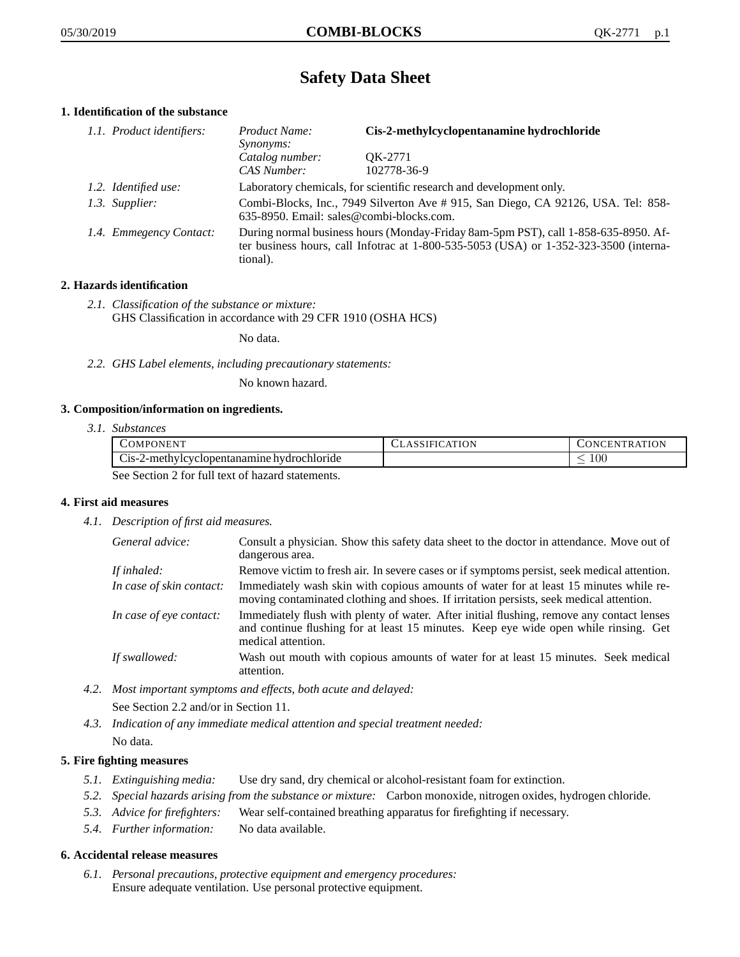# **Safety Data Sheet**

## **1. Identification of the substance**

| 1.1. Product identifiers: | Product Name:<br>Synonyms:                                                                                                                                                              | Cis-2-methylcyclopentanamine hydrochloride |
|---------------------------|-----------------------------------------------------------------------------------------------------------------------------------------------------------------------------------------|--------------------------------------------|
|                           | Catalog number:<br>CAS Number:                                                                                                                                                          | OK-2771<br>102778-36-9                     |
| 1.2. Identified use:      | Laboratory chemicals, for scientific research and development only.                                                                                                                     |                                            |
| 1.3. Supplier:            | Combi-Blocks, Inc., 7949 Silverton Ave # 915, San Diego, CA 92126, USA. Tel: 858-<br>635-8950. Email: sales@combi-blocks.com.                                                           |                                            |
| 1.4. Emmegency Contact:   | During normal business hours (Monday-Friday 8am-5pm PST), call 1-858-635-8950. Af-<br>ter business hours, call Infotrac at 1-800-535-5053 (USA) or 1-352-323-3500 (interna-<br>tional). |                                            |

## **2. Hazards identification**

*2.1. Classification of the substance or mixture:* GHS Classification in accordance with 29 CFR 1910 (OSHA HCS)

No data.

*2.2. GHS Label elements, including precautionary statements:*

No known hazard.

#### **3. Composition/information on ingredients.**

*3.1. Substances*

|                                                  | COMPONENT                                  | CLASSIFICATION | <b>CONCENTRATION</b> |
|--------------------------------------------------|--------------------------------------------|----------------|----------------------|
|                                                  | Cis-2-methylcyclopentanamine hydrochloride |                | 00ء                  |
| See Section 2 for full text of hazard statements |                                            |                |                      |

See Section 2 for full text of hazard statements.

## **4. First aid measures**

*4.1. Description of first aid measures.*

| General advice:          | Consult a physician. Show this safety data sheet to the doctor in attendance. Move out of<br>dangerous area.                                                                                            |
|--------------------------|---------------------------------------------------------------------------------------------------------------------------------------------------------------------------------------------------------|
| If inhaled:              | Remove victim to fresh air. In severe cases or if symptoms persist, seek medical attention.                                                                                                             |
| In case of skin contact: | Immediately wash skin with copious amounts of water for at least 15 minutes while re-<br>moving contaminated clothing and shoes. If irritation persists, seek medical attention.                        |
| In case of eye contact:  | Immediately flush with plenty of water. After initial flushing, remove any contact lenses<br>and continue flushing for at least 15 minutes. Keep eye wide open while rinsing. Get<br>medical attention. |
| If swallowed:            | Wash out mouth with copious amounts of water for at least 15 minutes. Seek medical<br>attention.                                                                                                        |

*4.2. Most important symptoms and effects, both acute and delayed:*

See Section 2.2 and/or in Section 11.

*4.3. Indication of any immediate medical attention and special treatment needed:* No data.

## **5. Fire fighting measures**

- *5.1. Extinguishing media:* Use dry sand, dry chemical or alcohol-resistant foam for extinction.
- *5.2. Special hazards arising from the substance or mixture:* Carbon monoxide, nitrogen oxides, hydrogen chloride.
- *5.3. Advice for firefighters:* Wear self-contained breathing apparatus for firefighting if necessary.
- *5.4. Further information:* No data available.

#### **6. Accidental release measures**

*6.1. Personal precautions, protective equipment and emergency procedures:* Ensure adequate ventilation. Use personal protective equipment.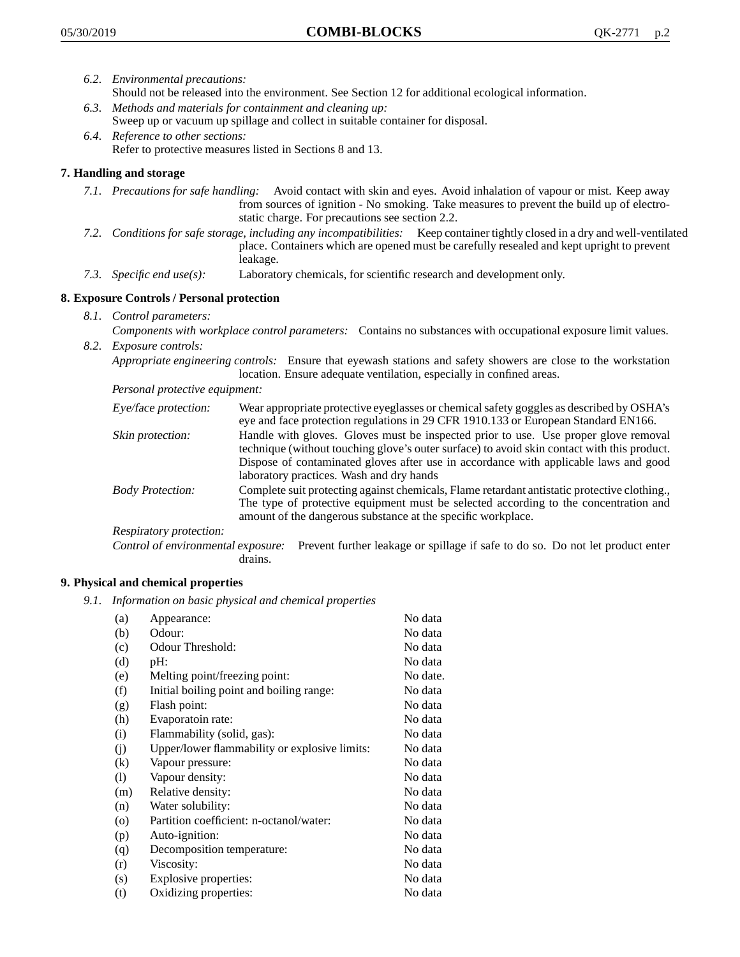- *6.2. Environmental precautions:* Should not be released into the environment. See Section 12 for additional ecological information.
- *6.3. Methods and materials for containment and cleaning up:* Sweep up or vacuum up spillage and collect in suitable container for disposal.
- *6.4. Reference to other sections:* Refer to protective measures listed in Sections 8 and 13.

# **7. Handling and storage**

- *7.1. Precautions for safe handling:* Avoid contact with skin and eyes. Avoid inhalation of vapour or mist. Keep away from sources of ignition - No smoking. Take measures to prevent the build up of electrostatic charge. For precautions see section 2.2.
- *7.2. Conditions for safe storage, including any incompatibilities:* Keep container tightly closed in a dry and well-ventilated place. Containers which are opened must be carefully resealed and kept upright to prevent leakage.
- *7.3. Specific end use(s):* Laboratory chemicals, for scientific research and development only.

## **8. Exposure Controls / Personal protection**

- *8.1. Control parameters:*
- *Components with workplace control parameters:* Contains no substances with occupational exposure limit values. *8.2. Exposure controls:*

*Appropriate engineering controls:* Ensure that eyewash stations and safety showers are close to the workstation location. Ensure adequate ventilation, especially in confined areas.

*Personal protective equipment:*

| Eye/face protection:    | Wear appropriate protective eyeglasses or chemical safety goggles as described by OSHA's<br>eye and face protection regulations in 29 CFR 1910.133 or European Standard EN166.                                                                                                                                         |
|-------------------------|------------------------------------------------------------------------------------------------------------------------------------------------------------------------------------------------------------------------------------------------------------------------------------------------------------------------|
| Skin protection:        | Handle with gloves. Gloves must be inspected prior to use. Use proper glove removal<br>technique (without touching glove's outer surface) to avoid skin contact with this product.<br>Dispose of contaminated gloves after use in accordance with applicable laws and good<br>laboratory practices. Wash and dry hands |
| <b>Body Protection:</b> | Complete suit protecting against chemicals, Flame retardant antistatic protective clothing.,<br>The type of protective equipment must be selected according to the concentration and<br>amount of the dangerous substance at the specific workplace.                                                                   |
| Respiratory protection: |                                                                                                                                                                                                                                                                                                                        |

Control of environmental exposure: Prevent further leakage or spillage if safe to do so. Do not let product enter drains.

#### **9. Physical and chemical properties**

*9.1. Information on basic physical and chemical properties*

| (a)               | Appearance:                                   | No data  |
|-------------------|-----------------------------------------------|----------|
| (b)               | Odour:                                        | No data  |
| (c)               | Odour Threshold:                              | No data  |
| (d)               | pH:                                           | No data  |
| (e)               | Melting point/freezing point:                 | No date. |
| (f)               | Initial boiling point and boiling range:      | No data  |
| (g)               | Flash point:                                  | No data  |
| (h)               | Evaporatoin rate:                             | No data  |
| (i)               | Flammability (solid, gas):                    | No data  |
| (j)               | Upper/lower flammability or explosive limits: | No data  |
| $\left( k\right)$ | Vapour pressure:                              | No data  |
| (1)               | Vapour density:                               | No data  |
| (m)               | Relative density:                             | No data  |
| (n)               | Water solubility:                             | No data  |
| $\circ$           | Partition coefficient: n-octanol/water:       | No data  |
| (p)               | Auto-ignition:                                | No data  |
| (q)               | Decomposition temperature:                    | No data  |
| (r)               | Viscosity:                                    | No data  |
| (s)               | Explosive properties:                         | No data  |
| (t)               | Oxidizing properties:                         | No data  |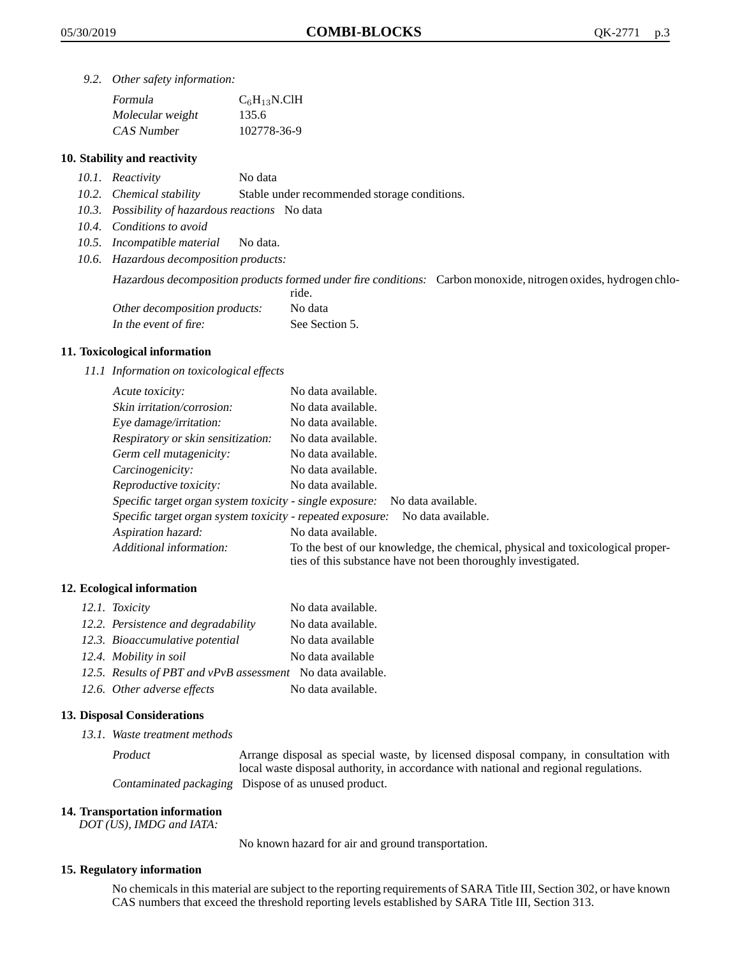*9.2. Other safety information:*

| Formula          | $C_6H_{13}N$ .ClH |
|------------------|-------------------|
| Molecular weight | 135.6             |
| CAS Number       | 102778-36-9       |

#### **10. Stability and reactivity**

- *10.1. Reactivity* No data
- *10.2. Chemical stability* Stable under recommended storage conditions.
- *10.3. Possibility of hazardous reactions* No data
- *10.4. Conditions to avoid*
- *10.5. Incompatible material* No data.
- *10.6. Hazardous decomposition products:*

Hazardous decomposition products formed under fire conditions: Carbon monoxide, nitrogen oxides, hydrogen chlo-

|                               | ride.          |
|-------------------------------|----------------|
| Other decomposition products: | No data        |
| In the event of fire:         | See Section 5. |

#### **11. Toxicological information**

*11.1 Information on toxicological effects*

| Acute toxicity:                                                                  | No data available.                                                                                                                              |  |
|----------------------------------------------------------------------------------|-------------------------------------------------------------------------------------------------------------------------------------------------|--|
| Skin irritation/corrosion:                                                       | No data available.                                                                                                                              |  |
| Eye damage/irritation:                                                           | No data available.                                                                                                                              |  |
| Respiratory or skin sensitization:                                               | No data available.                                                                                                                              |  |
| Germ cell mutagenicity:                                                          | No data available.                                                                                                                              |  |
| Carcinogenicity:                                                                 | No data available.                                                                                                                              |  |
| Reproductive toxicity:                                                           | No data available.                                                                                                                              |  |
| Specific target organ system toxicity - single exposure:<br>No data available.   |                                                                                                                                                 |  |
| Specific target organ system toxicity - repeated exposure:<br>No data available. |                                                                                                                                                 |  |
| Aspiration hazard:                                                               | No data available.                                                                                                                              |  |
| Additional information:                                                          | To the best of our knowledge, the chemical, physical and toxicological proper-<br>ties of this substance have not been thoroughly investigated. |  |

#### **12. Ecological information**

| 12.1. Toxicity                                              | No data available. |
|-------------------------------------------------------------|--------------------|
| 12.2. Persistence and degradability                         | No data available. |
| 12.3. Bioaccumulative potential                             | No data available  |
| 12.4. Mobility in soil                                      | No data available  |
| 12.5. Results of PBT and vPvB assessment No data available. |                    |
| 12.6. Other adverse effects                                 | No data available. |

#### **13. Disposal Considerations**

*13.1. Waste treatment methods*

Product Arrange disposal as special waste, by licensed disposal company, in consultation with local waste disposal authority, in accordance with national and regional regulations. Contaminated packaging Dispose of as unused product.

#### **14. Transportation information**

*DOT (US), IMDG and IATA:*

No known hazard for air and ground transportation.

## **15. Regulatory information**

No chemicals in this material are subject to the reporting requirements of SARA Title III, Section 302, or have known CAS numbers that exceed the threshold reporting levels established by SARA Title III, Section 313.